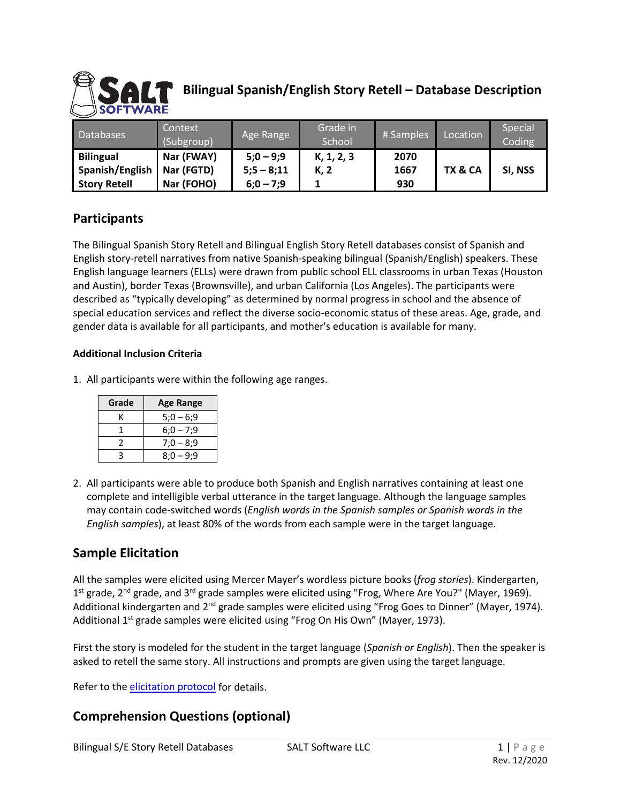

# **Bilingual Spanish/English Story Retell – Database Description**

| <b>Databases</b>    | Context<br>(Subgroup) | Age Range    | Grade in<br>School | # Samples | Location | Special<br>Coding |
|---------------------|-----------------------|--------------|--------------------|-----------|----------|-------------------|
| <b>Bilingual</b>    | Nar (FWAY)            | $5;0-9;9$    | K, 1, 2, 3         | 2070      |          |                   |
| Spanish/English     | Nar (FGTD)            | $5:5 - 8:11$ | K, 2               | 1667      | TX & CA  | SI, NSS           |
| <b>Story Retell</b> | Nar (FOHO)            | $6:0 - 7:9$  |                    | 930       |          |                   |

## **Participants**

The Bilingual Spanish Story Retell and Bilingual English Story Retell databases consist of Spanish and English story-retell narratives from native Spanish-speaking bilingual (Spanish/English) speakers. These English language learners (ELLs) were drawn from public school ELL classrooms in urban Texas (Houston and Austin), border Texas (Brownsville), and urban California (Los Angeles). The participants were described as "typically developing" as determined by normal progress in school and the absence of special education services and reflect the diverse socio-economic status of these areas. Age, grade, and gender data is available for all participants, and mother's education is available for many.

#### **Additional Inclusion Criteria**

1. All participants were within the following age ranges.

| Grade | <b>Age Range</b> |  |  |
|-------|------------------|--|--|
|       | $5:0 - 6:9$      |  |  |
|       | $6:0 - 7:9$      |  |  |
|       | $7:0 - 8:9$      |  |  |
|       | $8:0 - 9:9$      |  |  |

2. All participants were able to produce both Spanish and English narratives containing at least one complete and intelligible verbal utterance in the target language. Although the language samples may contain code-switched words (*English words in the Spanish samples or Spanish words in the English samples*), at least 80% of the words from each sample were in the target language.

## **Sample Elicitation**

All the samples were elicited using Mercer Mayer's wordless picture books (*frog stories*). Kindergarten,  $1^{\text{st}}$  grade,  $2^{\text{nd}}$  grade, and  $3^{\text{rd}}$  grade samples were elicited using "Frog, Where Are You?" (Mayer, 1969). Additional kindergarten and 2<sup>nd</sup> grade samples were elicited using "Frog Goes to Dinner" (Mayer, 1974). Additional 1<sup>st</sup> grade samples were elicited using "Frog On His Own" (Mayer, 1973).

First the story is modeled for the student in the target language (*Spanish or English*). Then the speaker is asked to retell the same story. All instructions and prompts are given using the target language.

Refer to the [elicitation protocol](https://www.saltsoftware.com/media/wysiwyg/reference_database/FrogStoryElicProtocol.pdf) for details.

## **Comprehension Questions (optional)**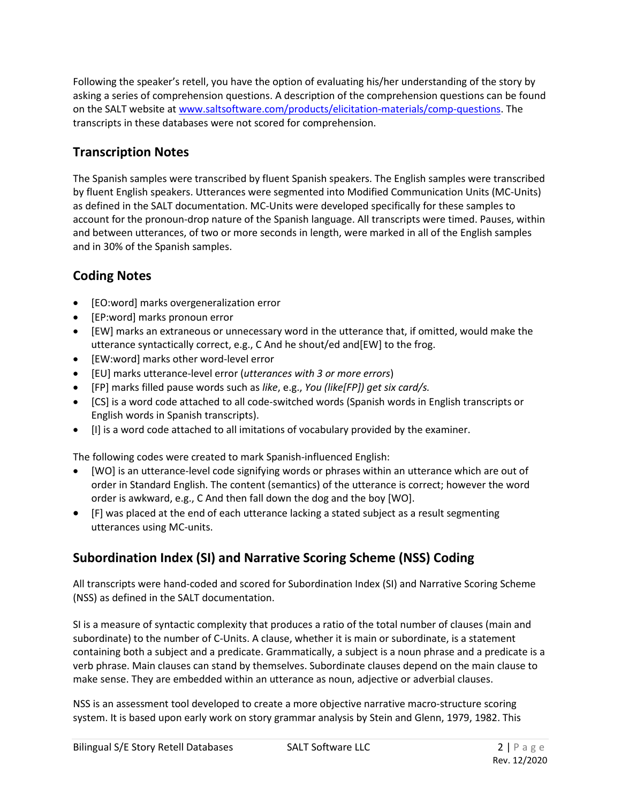Following the speaker's retell, you have the option of evaluating his/her understanding of the story by asking a series of comprehension questions. A description of the comprehension questions can be found on the SALT website at [www.saltsoftware.com/products/elicitation-materials/comp-questions.](https://www.saltsoftware.com/products/elicitation-materials/comp-questions) The transcripts in these databases were not scored for comprehension.

# **Transcription Notes**

The Spanish samples were transcribed by fluent Spanish speakers. The English samples were transcribed by fluent English speakers. Utterances were segmented into Modified Communication Units (MC-Units) as defined in the SALT documentation. MC-Units were developed specifically for these samples to account for the pronoun-drop nature of the Spanish language. All transcripts were timed. Pauses, within and between utterances, of two or more seconds in length, were marked in all of the English samples and in 30% of the Spanish samples.

# **Coding Notes**

- [EO:word] marks overgeneralization error
- [EP:word] marks pronoun error
- [EW] marks an extraneous or unnecessary word in the utterance that, if omitted, would make the utterance syntactically correct, e.g., C And he shout/ed and[EW] to the frog.
- [EW:word] marks other word-level error
- [EU] marks utterance-level error (*utterances with 3 or more errors*)
- [FP] marks filled pause words such as *like*, e.g., *You (like[FP]) get six card/s.*
- [CS] is a word code attached to all code-switched words (Spanish words in English transcripts or English words in Spanish transcripts).
- [I] is a word code attached to all imitations of vocabulary provided by the examiner.

The following codes were created to mark Spanish-influenced English:

- [WO] is an utterance-level code signifying words or phrases within an utterance which are out of order in Standard English. The content (semantics) of the utterance is correct; however the word order is awkward, e.g., C And then fall down the dog and the boy [WO].
- [F] was placed at the end of each utterance lacking a stated subject as a result segmenting utterances using MC-units.

# **Subordination Index (SI) and Narrative Scoring Scheme (NSS) Coding**

All transcripts were hand-coded and scored for Subordination Index (SI) and Narrative Scoring Scheme (NSS) as defined in the SALT documentation.

SI is a measure of syntactic complexity that produces a ratio of the total number of clauses (main and subordinate) to the number of C-Units. A clause, whether it is main or subordinate, is a statement containing both a subject and a predicate. Grammatically, a subject is a noun phrase and a predicate is a verb phrase. Main clauses can stand by themselves. Subordinate clauses depend on the main clause to make sense. They are embedded within an utterance as noun, adjective or adverbial clauses.

NSS is an assessment tool developed to create a more objective narrative macro-structure scoring system. It is based upon early work on story grammar analysis by Stein and Glenn, 1979, 1982. This